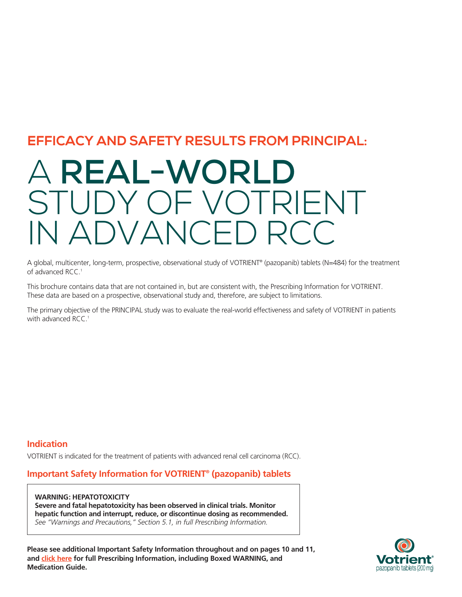#### **EFFICACY AND SAFETY RESULTS FROM PRINCIPAL:**

## A **REAL-WORLD** STUDY OF VOTRIENT IN ADVANCED RCC

A global, multicenter, long-term, prospective, observational study of VOTRIENT® (pazopanib) tablets (N=484) for the treatment of advanced RCC.<sup>1</sup>

This brochure contains data that are not contained in, but are consistent with, the Prescribing Information for VOTRIENT. These data are based on a prospective, observational study and, therefore, are subject to limitations.

The primary objective of the PRINCIPAL study was to evaluate the real-world effectiveness and safety of VOTRIENT in patients with advanced RCC.<sup>1</sup>

#### **Indication**

VOTRIENT is indicated for the treatment of patients with advanced renal cell carcinoma (RCC).

#### **Important Safety Information for VOTRIENT® (pazopanib) tablets**

**WARNING: HEPATOTOXICITY Severe and fatal hepatotoxicity has been observed in clinical trials. Monitor hepatic function and interrupt, reduce, or discontinue dosing as recommended.** *See "Warnings and Precautions," Section 5.1, in full Prescribing Information.*

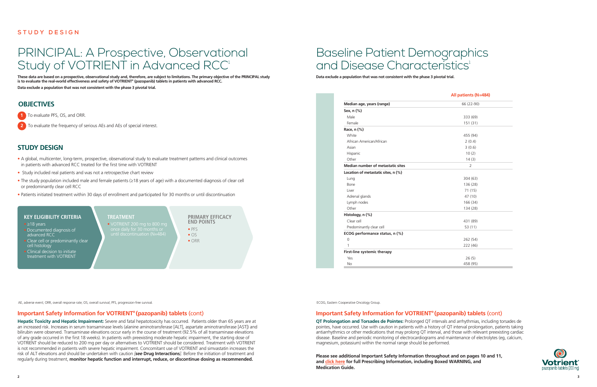#### **STUDY DESIGN**

## PRINCIPAL: A Prospective, Observational Study of VOTRIENT in Advanced RCC<sup>1</sup>

**These data are based on a prospective, observational study and, therefore, are subject to limitations. The primary objective of the PRINCIPAL study is to evaluate the real-world effectiveness and safety of VOTRIENT® (pazopanib) tablets in patients with advanced RCC.**

**Data exclude a population that was not consistent with the phase 3 pivotal trial.**

#### **OBJECTIVES**

**1** To evaluate PFS, OS, and ORR.

**2** To evaluate the frequency of serious AEs and AEs of special interest.

AE, adverse event; ORR, overall response rate; OS, overall survival; PFS, progression-free survival.

## Baseline Patient Demographics and Disease Characteristics<sup>1</sup>

**Please see additional Important Safety Information throughout and on pages 10 and 11, and [click here](https://www.novartis.us/sites/www.novartis.us/files/votrient.pdf) for full Prescribing Information, including Boxed WARNING, and Medication Guide.**

#### **STUDY DESIGN**

- A global, multicenter, long-term, prospective, observational study to evaluate treatment patterns and clinical outcomes in patients with advanced RCC treated for the first time with VOTRIENT
- Study included real patients and was not a retrospective chart review
- The study population included male and female patients (≥18 years of age) with a documented diagnosis of clear cell or predominantly clear cell RCC
- Patients initiated treatment within 30 days of enrollment and participated for 30 months or until discontinuation



**Data exclude a population that was not consistent with the phase 3 pivotal trial.**

#### **Important Safety Information for VOTRIENT® (pazopanib) tablets** (cont)

**QT Prolongation and Torsades de Pointes:** Prolonged QT intervals and arrhythmias, including torsades de pointes, have occurred. Use with caution in patients with a history of QT interval prolongation, patients taking antiarrhythmics or other medications that may prolong QT interval, and those with relevant preexisting cardiac disease. Baseline and periodic monitoring of electrocardiograms and maintenance of electrolytes (eg, calcium, magnesium, potassium) within the normal range should be performed.

#### **Important Safety Information for VOTRIENT® (pazopanib) tablets** (cont)

**Hepatic Toxicity and Hepatic Impairment:** Severe and fatal hepatotoxicity has occurred. Patients older than 65 years are at an increased risk. Increases in serum transaminase levels (alanine aminotransferase [ALT], aspartate aminotransferase [AST]) and bilirubin were observed. Transaminase elevations occur early in the course of treatment (92.5% of all transaminase elevations of any grade occurred in the first 18 weeks). In patients with preexisting moderate hepatic impairment, the starting dose of VOTRIENT should be reduced to 200 mg per day or alternatives to VOTRIENT should be considered. Treatment with VOTRIENT is not recommended in patients with severe hepatic impairment. Concomitant use of VOTRIENT and simvastatin increases the risk of ALT elevations and should be undertaken with caution *[see* **Drug Interactions***]*. Before the initiation of treatment and regularly during treatment, **monitor hepatic function and interrupt, reduce, or discontinue dosing as recommended.**

#### **KEY ELIGIBILITY CRITERIA**  $\bullet$   $\geq$  18 years • Documented diagnosis of advanced RCC • Clear cell or predominantly clear cell histology • Clinical decision to initiate treatment with VOTRIENT **TREATMENT** • VOTRIENT 200 mg to 800 mg until discontinuation (N=484) **PRIMARY EFFICACY END POINTS** • PFS  $\bullet$  OS • ORR

|                                          | All patients (N=484) |  |
|------------------------------------------|----------------------|--|
| Median age, years (range)                | 66 (22-90)           |  |
| Sex, n (%)                               |                      |  |
| Male                                     | 333 (69)             |  |
| Female                                   | 151(31)              |  |
| Race, n (%)                              |                      |  |
| White                                    | 455 (94)             |  |
| African American/African                 | 2(0.4)               |  |
| Asian                                    | 3(0.6)               |  |
| Hispanic                                 | 10(2)                |  |
| Other                                    | 14(3)                |  |
| <b>Median number of metastatic sites</b> | $\overline{2}$       |  |
| Location of metastatic sites, n (%)      |                      |  |
| Lung                                     | 304(63)              |  |
| Bone                                     | 136 (28)             |  |
| Liver                                    | 71(15)               |  |
| Adrenal glands                           | 47 (10)              |  |
| Lymph nodes                              | 166 (34)             |  |
| Other                                    | 134 (28)             |  |
| Histology, $n$ $%$                       |                      |  |
| Clear cell                               | 431 (89)             |  |
| Predominantly clear cell                 | 53 (11)              |  |
| ECOG performance status, n (%)           |                      |  |
| $\mathbf 0$                              | 262 (54)             |  |
| 1                                        | 222 (46)             |  |
| First-line systemic therapy              |                      |  |
| Yes                                      | 26(5)                |  |
| No                                       | 458 (95)             |  |

ECOG, Eastern Cooperative Oncology Group.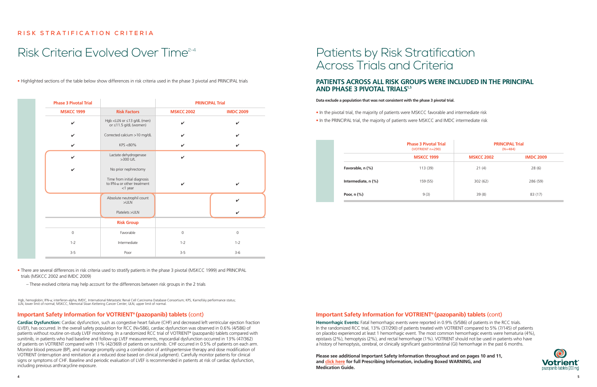#### **RISK STRATIFICATION CRITERIA**

## Risk Criteria Evolved Over Time<sup>2-4</sup> Patients by Risk Stratification

• Highlighted sections of the table below show differences in risk criteria used in the phase 3 pivotal and PRINCIPAL trials

• There are several differences in risk criteria used to stratify patients in the phase 3 pivotal (MSKCC 1999) and PRINCIPAL trials (MSKCC 2002 and IMDC 2009)

– These evolved criteria may help account for the differences between risk groups in the 2 trials

#### **Important Safety Information for VOTRIENT® (pazopanib) tablets** (cont)

#### **PATIENTS ACROSS ALL RISK GROUPS WERE INCLUDED IN THE PRINCIPAL AND PHASE 3 PIVOTAL TRIALS<sup>1,5</sup>**

**Cardiac Dysfunction:** Cardiac dysfunction, such as congestive heart failure (CHF) and decreased left ventricular ejection fraction (LVEF), has occurred. In the overall safety population for RCC (N=586), cardiac dysfunction was observed in 0.6% (4/586) of patients without routine on-study LVEF monitoring. In a randomized RCC trial of VOTRIENT® (pazopanib) tablets compared with sunitinib, in patients who had baseline and follow-up LVEF measurements, myocardial dysfunction occurred in 13% (47/362) of patients on VOTRIENT compared with 11% (42/369) of patients on sunitinib. CHF occurred in 0.5% of patients on each arm. Monitor blood pressure (BP), and manage promptly using a combination of antihypertensive therapy and dose modification of VOTRIENT (interruption and reinitiation at a reduced dose based on clinical judgment). Carefully monitor patients for clinical signs or symptoms of CHF. Baseline and periodic evaluation of LVEF is recommended in patients at risk of cardiac dysfunction, including previous anthracycline exposure.



# Across Trials and Criteria

#### **Data exclude a population that was not consistent with the phase 3 pivotal trial.**

- In the pivotal trial, the majority of patients were MSKCC favorable and intermediate risk
- In the PRINCIPAL trial, the majority of patients were MSKCC and IMDC intermediate risk

#### **Important Safety Information for VOTRIENT® (pazopanib) tablets** (cont)

**Hemorrhagic Events:** Fatal hemorrhagic events were reported in 0.9% (5/586) of patients in the RCC trials. In the randomized RCC trial, 13% (37/290) of patients treated with VOTRIENT compared to 5% (7/145) of patients on placebo experienced at least 1 hemorrhagic event. The most common hemorrhagic events were hematuria (4%), epistaxis (2%), hemoptysis (2%), and rectal hemorrhage (1%). VOTRIENT should not be used in patients who have a history of hemoptysis, cerebral, or clinically significant gastrointestinal (GI) hemorrhage in the past 6 months.

|                       | <b>Phase 3 Pivotal Trial</b><br>$(VOTRIENT n=290)$<br><b>MSKCC 1999</b> | <b>PRINCIPAL Trial</b><br>$(N=484)$ |                  |
|-----------------------|-------------------------------------------------------------------------|-------------------------------------|------------------|
|                       |                                                                         | <b>MSKCC 2002</b>                   | <b>IMDC 2009</b> |
| Favorable, n (%)      | 113(39)                                                                 | 21(4)                               | 28(6)            |
| Intermediate, $n$ (%) | 159(55)                                                                 | 302(62)                             | 286 (59)         |
| Poor, $n$ $%$         | 9(3)                                                                    | 39(8)                               | 83(17)           |

| <b>Phase 3 Pivotal Trial</b> |                                                                          | <b>PRINCIPAL Trial</b> |                  |
|------------------------------|--------------------------------------------------------------------------|------------------------|------------------|
| <b>MSKCC 1999</b>            | <b>Risk Factors</b>                                                      | <b>MSKCC 2002</b>      | <b>IMDC 2009</b> |
| $\checkmark$                 | Hgb <lln (men)<br="" dl="" g="" or="" ≤13="">or ≤11.5 g/dL (women)</lln> | $\checkmark$           | ✓                |
| $\checkmark$                 | Corrected calcium >10 mg/dL                                              | V                      |                  |
| $\checkmark$                 | KPS <80%                                                                 | V                      | ✓                |
| $\boldsymbol{\nu}$           | Lactate dehydrogenase<br>>300 U/L                                        | $\checkmark$           |                  |
| ✓                            | No prior nephrectomy                                                     |                        |                  |
|                              | Time from initial diagnosis<br>to IFN-α or other treatment<br>$<$ 1 year | V                      | V                |
|                              | Absolute neutrophil count<br>>ULN                                        |                        | $\checkmark$     |
|                              | Platelets >ULN                                                           |                        |                  |
|                              | <b>Risk Group</b>                                                        |                        |                  |
| $\mathsf{O}\xspace$          | Favorable                                                                | $\mathsf{O}\xspace$    | $\mathbf 0$      |
| $1 - 2$                      | Intermediate                                                             | $1 - 2$                | $1 - 2$          |
| $3 - 5$                      | Poor                                                                     | $3-5$                  | $3-6$            |

Hgb, hemoglobin; IFN-α; interferon-alpha; IMDC, International Metastatic Renal Cell Carcinoma Database Consortium; KPS, Karnofsky performance status; LLN, lower limit of normal; MSKCC, Memorial Sloan Kettering Cancer Center; ULN, upper limit of normal.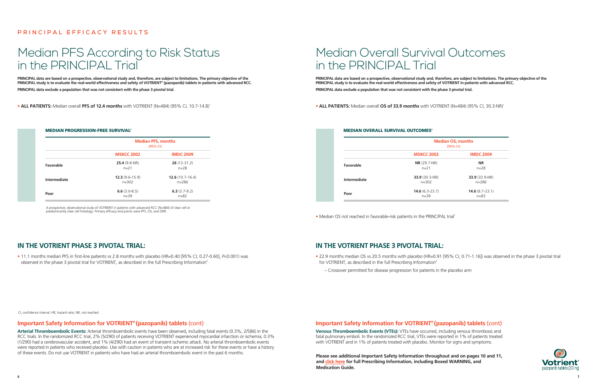#### **Important Safety Information for VOTRIENT® (pazopanib) tablets** (cont)

**Arterial Thromboembolic Events:** Arterial thromboembolic events have been observed, including fatal events (0.3%, 2/586) in the RCC trials. In the randomized RCC trial, 2% (5/290) of patients receiving VOTRIENT experienced myocardial infarction or ischemia, 0.3% (1/290) had a cerebrovascular accident, and 1% (4/290) had an event of transient ischemic attack. No arterial thromboembolic events were reported in patients who received placebo. Use with caution in patients who are at increased risk for these events or have a history of these events. Do not use VOTRIENT in patients who have had an arterial thromboembolic event in the past 6 months.

• 11.1 months median PFS in first-line patients vs 2.8 months with placebo (HR=0.40 [95% CI, 0.27-0.60], *P*<0.001) was observed in the phase 3 pivotal trial for VOTRIENT, as described in the full Prescribing Information<sup>6</sup>

#### **PRINCIPAL EFFICACY RESULTS**

### Median PFS According to Risk Status in the PRINCIPAL Trial

#### **IN THE VOTRIENT PHASE 3 PIVOTAL TRIAL:**

**PRINCIPAL data are based on a prospective, observational study and, therefore, are subject to limitations. The primary objective of the PRINCIPAL study is to evaluate the real-world effectiveness and safety of VOTRIENT® (pazopanib) tablets in patients with advanced RCC. PRINCIPAL data exclude a population that was not consistent with the phase 3 pivotal trial.** 

• **ALL PATIENTS:** Median overall PFS of 12.4 months with VOTRIENT (N=484) (95% CI, 10.7-14.8)

CI, confidence interval; HR, hazard ratio; NR, not reached.

#### **Important Safety Information for VOTRIENT® (pazopanib) tablets** (cont)

**Venous Thromboembolic Events (VTEs):** VTEs have occurred, including venous thrombosis and fatal pulmonary emboli. In the randomized RCC trial, VTEs were reported in 1% of patients treated with VOTRIENT and in 1% of patients treated with placebo. Monitor for signs and symptoms.

## Median Overall Survival Outcomes in the PRINCIPAL Trial

#### **IN THE VOTRIENT PHASE 3 PIVOTAL TRIAL:**

- 22.9 months median OS vs 20.5 months with placebo (HR=0.91 [95% CI, 0.71-1.16]) was observed in the phase 3 pivotal trial for VOTRIENT, as described in the full Prescribing Information<sup>6</sup>
	- Crossover permitted for disease progression for patients in the placebo arm

• **ALL PATIENTS:** Median overall **OS of 33.9 months** with VOTRIENT (N=484) (95% CI, 30.3-NR)1

**PRINCIPAL data are based on a prospective, observational study and, therefore, are subject to limitations. The primary objective of the PRINCIPAL study is to evaluate the real-world effectiveness and safety of VOTRIENT in patients with advanced RCC. PRINCIPAL data exclude a population that was not consistent with the phase 3 pivotal trial.** 

| <b>MEDIAN OVERALL SURVIVAL OUTCOMES'</b> |                                        |  |
|------------------------------------------|----------------------------------------|--|
|                                          | ،م N                                   |  |
|                                          | <b>MSKCC 2002</b>                      |  |
| Favorable                                | $NR$ (29.7-NR)<br>$n = 21$             |  |
| Intermediate                             | $33.9(30.3-NR)$<br>$n = 302$           |  |
| Poor                                     | <b>14.6</b> $(6.3 - 23.7)$<br>$n = 39$ |  |
|                                          |                                        |  |

• Median OS not reached in favorable-risk patients in the PRINCIPAL trial<sup>1</sup>

**Median OS, months** (95% CI) **MSKCC 2002 IMDC 2009 NR** n=28 **33.9** (33.9-NR) n=286 **14.6** (8.7-23.1) n=83



#### MEDIAN PROGRESSION-FREE SURVIVAL1

|              | <b>Median PFS, months</b><br>(95% CI) |                                          |  |
|--------------|---------------------------------------|------------------------------------------|--|
|              | <b>MSKCC 2002</b>                     | <b>IMDC 2009</b>                         |  |
| Favorable    | $25.4(9.8-NR)$<br>$n=21$              | $26(12-31.2)$<br>$n = 28$                |  |
| Intermediate | $12.3(9.6-15.9)$<br>$n = 302$         | <b>12.6</b> $(10.7 - 16.4)$<br>$n = 286$ |  |
| Poor         | $6.6(3.0-8.5)$<br>$n = 39$            | 6.3 $(3.7-9.2)$<br>$n = 82$              |  |

A prospective, observational study of VOTRIENT in patients with advanced RCC (N=484) of clear cell or predominantly clear cell histology. Primary efficacy end points were PFS, OS, and ORR.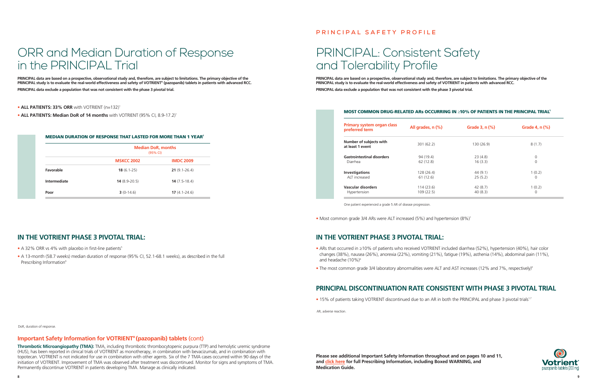

#### **Important Safety Information for VOTRIENT® (pazopanib) tablets** (cont)

**Thrombotic Microangiopathy (TMA):** TMA, including thrombotic thrombocytopenic purpura (TTP) and hemolytic uremic syndrome (HUS), has been reported in clinical trials of VOTRIENT as monotherapy, in combination with bevacizumab, and in combination with topotecan. VOTRIENT is not indicated for use in combination with other agents. Six of the 7 TMA cases occurred within 90 days of the initiation of VOTRIENT. Improvement of TMA was observed after treatment was discontinued. Monitor for signs and symptoms of TMA. Permanently discontinue VOTRIENT in patients developing TMA. Manage as clinically indicated.

- ARs that occurred in ≥10% of patients who received VOTRIENT included diarrhea (52%), hypertension (40%), hair color changes (38%), nausea (26%), anorexia (22%), vomiting (21%), fatigue (19%), asthenia (14%), abdominal pain (11%), and headache (10%)<sup>6</sup>
- The most common grade 3/4 laboratory abnormalities were ALT and AST increases (12% and 7%, respectively)<sup>6</sup>

## ORR and Median Duration of Response in the PRINCIPAL Trial

#### **IN THE VOTRIENT PHASE 3 PIVOTAL TRIAL:**

- A 32% ORR vs 4% with placebo in first-line patients<sup>5</sup>
- A 13-month (58.7 weeks) median duration of response (95% CI, 52.1-68.1 weeks), as described in the full Prescribing Information<sup>6</sup>

**PRINCIPAL data are based on a prospective, observational study and, therefore, are subject to limitations. The primary objective of the PRINCIPAL study is to evaluate the real-world effectiveness and safety of VOTRIENT® (pazopanib) tablets in patients with advanced RCC. PRINCIPAL data exclude a population that was not consistent with the phase 3 pivotal trial.** 

#### • **ALL PATIENTS: 33% ORR** with VOTRIENT (n=132)1

• **ALL PATIENTS: Median DoR of 14 months** with VOTRIENT (95% CI, 8.9-17.2)<sup>1</sup>

#### **PRINCIPAL SAFETY PROFILE**

## PRINCIPAL: Consistent Safety and Tolerability Profile

#### **IN THE VOTRIENT PHASE 3 PIVOTAL TRIAL:**

#### **PRINCIPAL DISCONTINUATION RATE CONSISTENT WITH PHASE 3 PIVOTAL TRIAL**

• 15% of patients taking VOTRIENT discontinued due to an AR in both the PRINCIPAL and phase 3 pivotal trials<sup>1,7</sup>

**PRINCIPAL data are based on a prospective, observational study and, therefore, are subject to limitations. The primary objective of the PRINCIPAL study is to evaluate the real-world effectiveness and safety of VOTRIENT in patients with advanced RCC. PRINCIPAL data exclude a population that was not consistent with the phase 3 pivotal trial.** 

#### MOST COMMON DRUG-RELATED ARs OCCURRING IN ≥10% OF PATIENTS IN THE PRINCIPAL TRIAL<sup>1</sup>

AR, adverse reaction.

#### MEDIAN DURATION OF RESPONSE THAT LASTED FOR MORE THAN 1 YEAR1

|              |                                 | <b>Median DoR, months</b><br>(95% CI) |  |
|--------------|---------------------------------|---------------------------------------|--|
|              | <b>MSKCC 2002</b>               | <b>IMDC 2009</b>                      |  |
| Favorable    | $18(6.1-25)$                    | $21(9.1 - 26.4)$                      |  |
| Intermediate | $14(8.9-20.5)$                  | $14(7.5-18.4)$                        |  |
| Poor         | $3(0-14.6)$<br>$17(4.1 - 24.6)$ |                                       |  |

| Primary system organ class<br>preferred term | All grades, $n$ $%$ | Grade 3, n (%) | Grade 4, n (%) |
|----------------------------------------------|---------------------|----------------|----------------|
| Number of subjects with<br>at least 1 event  | 301(62.2)           | 130 (26.9)     | 8(1.7)         |
| <b>Gastrointestinal disorders</b>            | 94 (19.4)           | 23(4.8)        | 0              |
| Diarrhea                                     | 62(12.8)            | 16(3.3)        | $\Omega$       |
| Investigations                               | 128 (26.4)          | 44(9.1)        | 1(0.2)         |
| ALT increased                                | 61 (12.6)           | 25(5.2)        | $\Omega$       |
| Vascular disorders                           | 114(23.6)           | 42(8.7)        | 1(0.2)         |
| Hypertension                                 | 109(22.5)           | 40(8.3)        | $\Omega$       |

One patient experienced a grade 5 AR of disease progression.

• Most common grade 3/4 ARs were ALT increased (5%) and hypertension (8%)<sup>1</sup>

DoR, duration of response.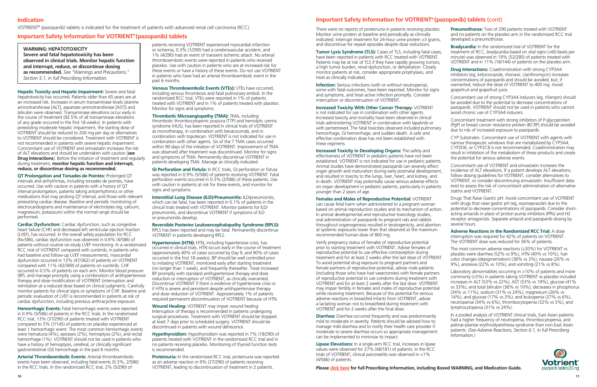There were no reports of proteinuria in patients receiving placebo. Monitor urine protein at baseline and periodically as clinically indicated. Interrupt treatment for 24-hour urine protein ≥3 grams, and discontinue for repeat episodes despite dose reductions.

**Tumor Lysis Syndrome (TLS):** Cases of TLS, including fatal cases, have been reported in patients with RCC treated with VOTRIENT. Patients may be at risk of TLS if they have rapidly growing tumors, a high tumor burden, renal dysfunction, or dehydration. Closely monitor patients at risk, consider appropriate prophylaxis, and treat as clinically indicated.

**Infection:** Serious infections (with or without neutropenia), some with fatal outcomes, have been reported. Monitor for signs and symptoms, and treat active infection promptly. Consider interruption or discontinuation of VOTRIENT.

**Increased Toxicity With Other Cancer Therapy:** VOTRIENT is not indicated for use in combination with other agents. Increased toxicity and mortality have been observed in clinical trials administering VOTRIENT in combination with lapatinib or with pemetrexed. The fatal toxicities observed included pulmonary hemorrhage, GI hemorrhage, and sudden death. A safe and effective combination dose has not been established with these regimens.

**Increased Toxicity in Developing Organs:** The safety and effectiveness of VOTRIENT in pediatric patients have not been established. VOTRIENT is not indicated for use in pediatric patients. Animal studies have demonstrated pazopanib can severely affect organ growth and maturation during early postnatal development, and resulted in toxicity to the lungs, liver, heart, and kidney, and in death. VOTRIENT may potentially cause serious adverse effects on organ development in pediatric patients, particularly in patients younger than 2 years of age.

**Females and Males of Reproductive Potential:** VOTRIENT can cause fetal harm when administered to a pregnant woman based on animal reproduction studies and its mechanism of action. In animal developmental and reproductive toxicology studies, oral administration of pazopanib to pregnant rats and rabbits throughout organogenesis resulted in teratogenicity, and abortion at systemic exposures lower than that observed at the maximum recommended human dose of 800 mg.

Verify pregnancy status of females of reproductive potential prior to starting treatment with VOTRIENT. Advise females of reproductive potential to use effective contraception during treatment and for at least 2 weeks after the last dose of VOTRIENT. To avoid potential drug exposure to pregnant partners and female partners of reproductive potential, advise male patients (including those who have had vasectomies) with female partners of reproductive potential to use condoms during treatment with VOTRIENT and for at least 2 weeks after the last dose. VOTRIENT may impair fertility in females and males of reproductive potential while receiving treatment. Because of the potential for serious adverse reactions in breastfed infants from VOTRIENT, advise a lactating woman not to breastfeed during treatment with VOTRIENT and for 2 weeks after the final dose.

**Diarrhea:** Diarrhea occurred frequently and was predominantly mild to moderate in severity. Patients should be advised how to manage mild diarrhea and to notify their health care provider if moderate to severe diarrhea occurs so appropriate management can be implemented to minimize its impact.

**Lipase Elevations:** In a single-arm RCC trial, increases in lipase values were observed for 27% (48/181) of patients. In the RCC trials of VOTRIENT, clinical pancreatitis was observed in <1% (4/586) of patients.

**Cardiac Dysfunction:** Cardiac dysfunction, such as congestive heart failure (CHF) and decreased left ventricular ejection fraction (LVEF), has occurred. In the overall safety population for RCC (N=586), cardiac dysfunction was observed in 0.6% (4/586) of patients without routine on-study LVEF monitoring. In a randomized RCC trial of VOTRIENT compared with sunitinib, in patients who had baseline and follow-up LVEF measurements, myocardial dysfunction occurred in 13% (47/362) of patients on VOTRIENT compared with 11% (42/369) of patients on sunitinib. CHF occurred in 0.5% of patients on each arm. Monitor blood pressure (BP), and manage promptly using a combination of antihypertensive therapy and dose modification of VOTRIENT (interruption and reinitiation at a reduced dose based on clinical judgment). Carefully monitor patients for clinical signs or symptoms of CHF. Baseline and periodic evaluation of LVEF is recommended in patients at risk of cardiac dysfunction, including previous anthracycline exposure.

- **Pneumothorax:** Two of 290 patients treated with VOTRIENT and no patients on the placebo arm in the randomized RCC trial developed a pneumothorax.
- **Bradycardia:** In the randomized trial of VOTRIENT for the treatment of RCC, bradycardia based on vital signs (<60 beats per minute) was observed in 19% (52/280) of patients treated with VOTRIENT and in 11% (16/144) of patients on the placebo arm.
- **Drug Interactions:** Coadministration with strong CYP3A4 inhibitors (eg, ketoconazole, ritonavir, clarithromycin) increases concentrations of pazopanib and should be avoided, but, if warranted, reduce the dose of VOTRIENT to 400 mg. Avoid grapefruit and grapefruit juice.
- Concomitant use of strong CYP3A4 inducers (eg, rifampin) should be avoided due to the potential to decrease concentrations of pazopanib. VOTRIENT should not be used in patients who cannot avoid chronic use of CYP3A4 inducers.
- Concomitant treatment with strong inhibitors of P-glycoprotein (PgP) or breast cancer resistance protein (BCRP) should be avoided due to risk of increased exposure to pazopanib.
- CYP Substrates: Concomitant use of VOTRIENT with agents with narrow therapeutic windows that are metabolized by CYP3A4, CYP2D6, or CYP2C8 is not recommended. Coadministration may result in inhibition of the metabolism of these products and create the potential for serious adverse events.
- Concomitant use of VOTRIENT and simvastatin increases the incidence of ALT elevations. If a patient develops ALT elevations, follow dosing guidelines for VOTRIENT, consider alternatives to VOTRIENT, or consider discontinuing simvastatin. Insufficient data exist to assess the risk of concomitant administration of alternative statins and VOTRIENT.
- Drugs That Raise Gastric pH: Avoid concomitant use of VOTRIENT with drugs that raise gastric pH (eg, esomeprazole) due to the potential to decrease concentrations of pazopanib. Consider shortacting antacids in place of proton pump inhibitors (PPIs) and H2 receptor antagonists. Separate antacid and pazopanib dosing by several hours.
- **Adverse Reactions in the Randomized RCC Trial:** A dose interruption was required for 42% of patients on VOTRIENT. The VOTRIENT dose was reduced for 36% of patients.
- The most common adverse reactions (≥20%) for VOTRIENT vs placebo were diarrhea (52% vs 9%), HTN (40% vs 10%), hair color changes (depigmentation) (38% vs 3%), nausea (26% vs 9%), anorexia (22% vs 10%), and vomiting (21% vs 8%).
- Laboratory abnormalities occurring in >10% of patients and more commonly (≥5%) in patients taking VOTRIENT vs placebo included increases in ALT (53% vs 22%), AST (53% vs 19%), glucose (41% vs 33%), and total bilirubin (36% vs 10%); decreases in phosphorus (34% vs 11%), sodium (31% vs 24%), magnesium (26% vs 14%), and glucose (17% vs 3%); and leukopenia (37% vs 6%), neutropenia (34% vs 6%), thrombocytopenia (32% vs 5%), and lymphocytopenia (31% vs 24%).
	- In a pooled analysis of VOTRIENT clinical trials, East Asian patients had a higher frequency of neutropenia, thrombocytopenia, and palmar-plantar erythrodysesthesia syndrome than non-East Asian patients. *(See Adverse Reactions, Section 6.1, in full Prescribing Information.)*



**Interstitial Lung Disease (ILD)/Pneumonitis:** ILD/pneumonitis, which can be fatal, has been reported in 0.1% of patients in the clinical trials treated with VOTRIENT. Monitor patients for ILD/ pneumonitis, and discontinue VOTRIENT if symptoms of ILD or pneumonitis develop.

**Hypertension (HTN): HTN, including hypertensive crisis, has** occurred in clinical trials. HTN occurs early in the course of treatment (approximately 40% of cases occurred by Day 9, and 90% of cases occurred in the first 18 weeks). BP should be well controlled prior to initiating VOTRIENT, monitored early after starting treatment (no longer than 1 week), and frequently thereafter. Treat increased BP promptly with standard antihypertensive therapy and dose reduction or interruption of VOTRIENT, as clinically warranted. Discontinue VOTRIENT if there is evidence of hypertensive crisis or if HTN is severe and persistent despite antihypertensive therapy and dose reduction of VOTRIENT. Approximately 1% of patients required permanent discontinuation of VOTRIENT because of HTN.

#### **Important Safety Information for VOTRIENT® (pazopanib) tablets** (cont)

**Please [click here](https://www.novartis.us/sites/www.novartis.us/files/votrient.pdf) for full Prescribing Information, including Boxed WARNING, and Medication Guide.**

**Hepatic Toxicity and Hepatic Impairment:** Severe and fatal hepatotoxicity has occurred. Patients older than 65 years are at an increased risk. Increases in serum transaminase levels (alanine aminotransferase [ALT], aspartate aminotransferase [AST]) and bilirubin were observed. Transaminase elevations occur early in the course of treatment (92.5% of all transaminase elevations of any grade occurred in the first 18 weeks). In patients with preexisting moderate hepatic impairment, the starting dose of VOTRIENT should be reduced to 200 mg per day or alternatives to VOTRIENT should be considered. Treatment with VOTRIENT is not recommended in patients with severe hepatic impairment. Concomitant use of VOTRIENT and simvastatin increases the risk of ALT elevations and should be undertaken with caution *[see* **Drug Interactions***]*. Before the initiation of treatment and regularly during treatment, **monitor hepatic function and interrupt, reduce, or discontinue dosing as recommended.**

**QT Prolongation and Torsades de Pointes:** Prolonged QT intervals and arrhythmias, including torsades de pointes, have occurred. Use with caution in patients with a history of QT interval prolongation, patients taking antiarrhythmics or other medications that may prolong QT interval, and those with relevant preexisting cardiac disease. Baseline and periodic monitoring of electrocardiograms and maintenance of electrolytes (eg, calcium, magnesium, potassium) within the normal range should be performed.

**Hemorrhagic Events:** Fatal hemorrhagic events were reported in 0.9% (5/586) of patients in the RCC trials. In the randomized RCC trial, 13% (37/290) of patients treated with VOTRIENT compared to 5% (7/145) of patients on placebo experienced at least 1 hemorrhagic event. The most common hemorrhagic events were hematuria (4%), epistaxis (2%), hemoptysis (2%), and rectal hemorrhage (1%). VOTRIENT should not be used in patients who have a history of hemoptysis, cerebral, or clinically significant gastrointestinal (GI) hemorrhage in the past 6 months.

**Arterial Thromboembolic Events:** Arterial thromboembolic events have been observed, including fatal events (0.3%, 2/586) in the RCC trials. In the randomized RCC trial, 2% (5/290) of

patients receiving VOTRIENT experienced myocardial infarction or ischemia, 0.3% (1/290) had a cerebrovascular accident, and 1% (4/290) had an event of transient ischemic attack. No arterial thromboembolic events were reported in patients who received placebo. Use with caution in patients who are at increased risk for these events or have a history of these events. Do not use VOTRIENT in patients who have had an arterial thromboembolic event in the past 6 months.

**Venous Thromboembolic Events (VTEs):** VTEs have occurred, including venous thrombosis and fatal pulmonary emboli. In the randomized RCC trial, VTEs were reported in 1% of patients treated with VOTRIENT and in 1% of patients treated with placebo. Monitor for signs and symptoms.

**Thrombotic Microangiopathy (TMA):** TMA, including thrombotic thrombocytopenic purpura (TTP) and hemolytic uremic syndrome (HUS), has been reported in clinical trials of VOTRIENT as monotherapy, in combination with bevacizumab, and in combination with topotecan. VOTRIENT is not indicated for use in combination with other agents. Six of the 7 TMA cases occurred within 90 days of the initiation of VOTRIENT. Improvement of TMA was observed after treatment was discontinued. Monitor for signs and symptoms of TMA. Permanently discontinue VOTRIENT in patients developing TMA. Manage as clinically indicated.

**GI Perforation and Fistula:** In RCC trials, GI perforation or fistula was reported in 0.9% (5/586) of patients receiving VOTRIENT. Fatal perforation events occurred in 0.3% (2/586) of these patients. Use with caution in patients at risk for these events, and monitor for signs and symptoms.

**Reversible Posterior Leukoencephalopathy Syndrome (RPLS):** RPLS has been reported and may be fatal. Permanently discontinue VOTRIENT in patients developing RPLS.

**Wound Healing:** VOTRIENT may impair wound healing. Interruption of therapy is recommended in patients undergoing surgical procedures. Treatment with VOTRIENT should be stopped at least 7 days prior to scheduled surgery. VOTRIENT should be discontinued in patients with wound dehiscence.

**Hypothyroidism:** Hypothyroidism was reported in 7% (19/290) of patients treated with VOTRIENT in the randomized RCC trial and in no patients receiving placebo. Monitoring of thyroid function tests is recommended.

**Proteinuria:** In the randomized RCC trial, proteinuria was reported as an adverse reaction in 9% (27/290) of patients receiving VOTRIENT, leading to discontinuation of treatment in 2 patients.

**WARNING: HEPATOTOXICITY Severe and fatal hepatotoxicity has been observed in clinical trials. Monitor hepatic function and interrupt, reduce, or discontinue dosing as recommended.** *See "Warnings and Precautions," Section 5.1, in full Prescribing Information.*

#### **Indication**

VOTRIENT® (pazopanib) tablets is indicated for the treatment of patients with advanced renal cell carcinoma (RCC).

#### **Important Safety Information for VOTRIENT® (pazopanib) tablets**